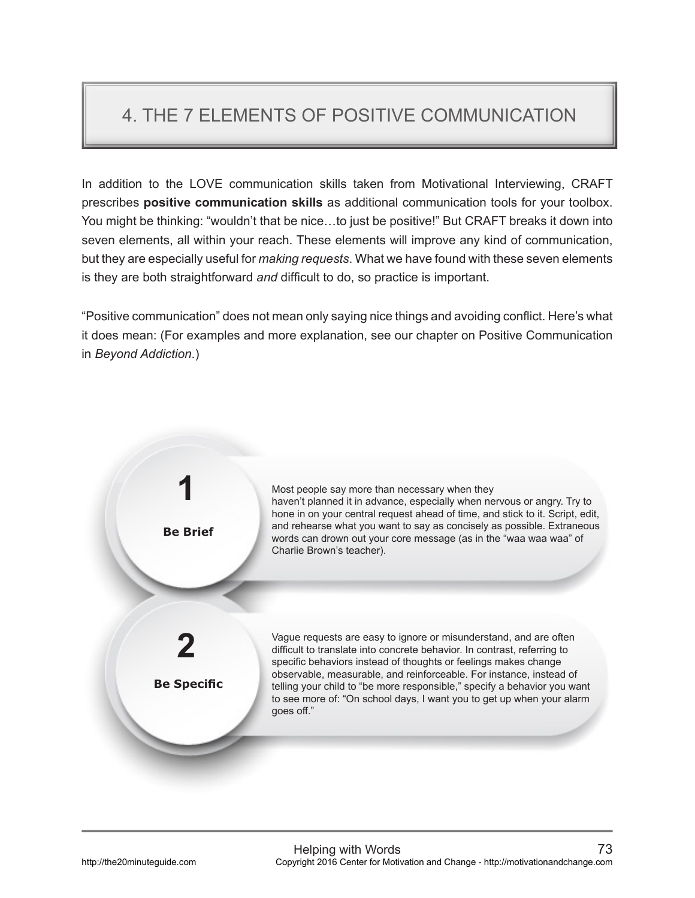## 4. THE 7 ELEMENTS OF POSITIVE COMMUNICATION

In addition to the LOVE communication skills taken from Motivational Interviewing, CRAFT prescribes **positive communication skills** as additional communication tools for your toolbox. You might be thinking: "wouldn't that be nice…to just be positive!" But CRAFT breaks it down into seven elements, all within your reach. These elements will improve any kind of communication, but they are especially useful for *making requests*. What we have found with these seven elements is they are both straightforward *and* difficult to do, so practice is important.

"Positive communication" does not mean only saying nice things and avoiding conflict. Here's what it does mean: (For examples and more explanation, see our chapter on Positive Communication in *Beyond Addiction*.)